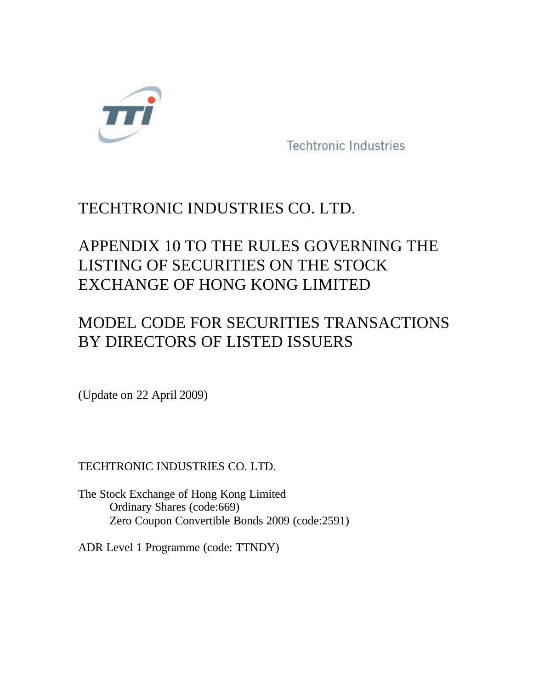

Techtronic Industries

## TECHTRONIC INDUSTRIES CO. LTD.

# APPENDIX 10 TO THE RULES GOVERNING THE LISTING OF SECURITIES ON THE STOCK EXCHANGE OF HONG KONG LIMITED

## MODEL CODE FOR SECURITIES TRANSACTIONS BY DIRECTORS OF LISTED ISSUERS

(Update on 22 April 2009)

### TECHTRONIC INDUSTRIES CO. LTD.

The Stock Exchange of Hong Kong Limited Ordinary Shares (code:669) Zero Coupon Convertible Bonds 2009 (code:2591)

ADR Level 1 Programme (code: TTNDY)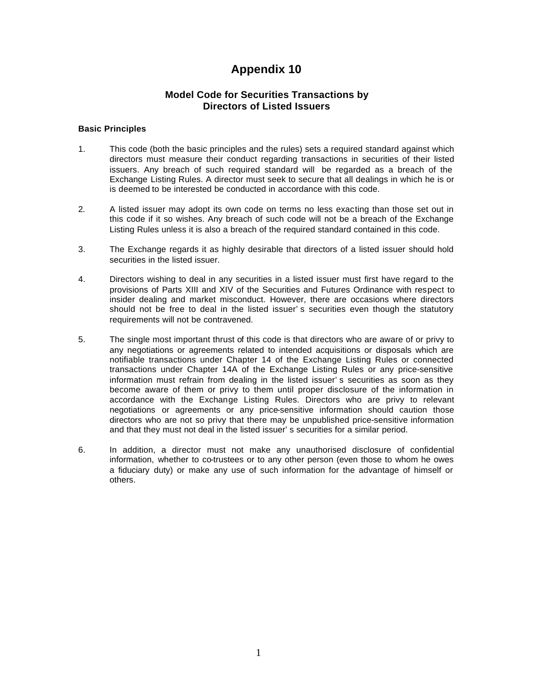### **Appendix 10**

### **Model Code for Securities Transactions by Directors of Listed Issuers**

#### **Basic Principles**

- 1. This code (both the basic principles and the rules) sets a required standard against which directors must measure their conduct regarding transactions in securities of their listed issuers. Any breach of such required standard will be regarded as a breach of the Exchange Listing Rules. A director must seek to secure that all dealings in which he is or is deemed to be interested be conducted in accordance with this code.
- 2. A listed issuer may adopt its own code on terms no less exacting than those set out in this code if it so wishes. Any breach of such code will not be a breach of the Exchange Listing Rules unless it is also a breach of the required standard contained in this code.
- 3. The Exchange regards it as highly desirable that directors of a listed issuer should hold securities in the listed issuer.
- 4. Directors wishing to deal in any securities in a listed issuer must first have regard to the provisions of Parts XIII and XIV of the Securities and Futures Ordinance with respect to insider dealing and market misconduct. However, there are occasions where directors should not be free to deal in the listed issuer's securities even though the statutory requirements will not be contravened.
- 5. The single most important thrust of this code is that directors who are aware of or privy to any negotiations or agreements related to intended acquisitions or disposals which are notifiable transactions under Chapter 14 of the Exchange Listing Rules or connected transactions under Chapter 14A of the Exchange Listing Rules or any price-sensitive information must refrain from dealing in the listed issuer's securities as soon as they become aware of them or privy to them until proper disclosure of the information in accordance with the Exchange Listing Rules. Directors who are privy to relevant negotiations or agreements or any price-sensitive information should caution those directors who are not so privy that there may be unpublished price-sensitive information and that they must not deal in the listed issuer's securities for a similar period.
- 6. In addition, a director must not make any unauthorised disclosure of confidential information, whether to co-trustees or to any other person (even those to whom he owes a fiduciary duty) or make any use of such information for the advantage of himself or others.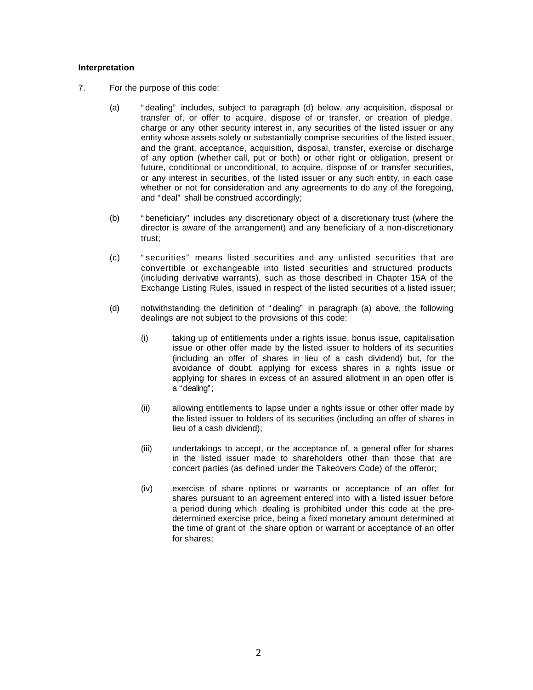#### **Interpretation**

- 7. For the purpose of this code:
	- (a) "dealing" includes, subject to paragraph (d) below, any acquisition, disposal or transfer of, or offer to acquire, dispose of or transfer, or creation of pledge, charge or any other security interest in, any securities of the listed issuer or any entity whose assets solely or substantially comprise securities of the listed issuer, and the grant, acceptance, acquisition, disposal, transfer, exercise or discharge of any option (whether call, put or both) or other right or obligation, present or future, conditional or unconditional, to acquire, dispose of or transfer securities, or any interest in securities, of the listed issuer or any such entity, in each case whether or not for consideration and any agreements to do any of the foregoing, and "deal" shall be construed accordingly;
	- (b) "beneficiary" includes any discretionary object of a discretionary trust (where the director is aware of the arrangement) and any beneficiary of a non-discretionary trust;
	- (c) "securities" means listed securities and any unlisted securities that are convertible or exchangeable into listed securities and structured products (including derivative warrants), such as those described in Chapter 15A of the Exchange Listing Rules, issued in respect of the listed securities of a listed issuer;
	- (d) notwithstanding the definition of "dealing" in paragraph (a) above, the following dealings are not subject to the provisions of this code:
		- (i) taking up of entitlements under a rights issue, bonus issue, capitalisation issue or other offer made by the listed issuer to holders of its securities (including an offer of shares in lieu of a cash dividend) but, for the avoidance of doubt, applying for excess shares in a rights issue or applying for shares in excess of an assured allotment in an open offer is a "dealing";
		- (ii) allowing entitlements to lapse under a rights issue or other offer made by the listed issuer to holders of its securities (including an offer of shares in lieu of a cash dividend);
		- (iii) undertakings to accept, or the acceptance of, a general offer for shares in the listed issuer made to shareholders other than those that are concert parties (as defined under the Takeovers Code) of the offeror;
		- (iv) exercise of share options or warrants or acceptance of an offer for shares pursuant to an agreement entered into with a listed issuer before a period during which dealing is prohibited under this code at the predetermined exercise price, being a fixed monetary amount determined at the time of grant of the share option or warrant or acceptance of an offer for shares;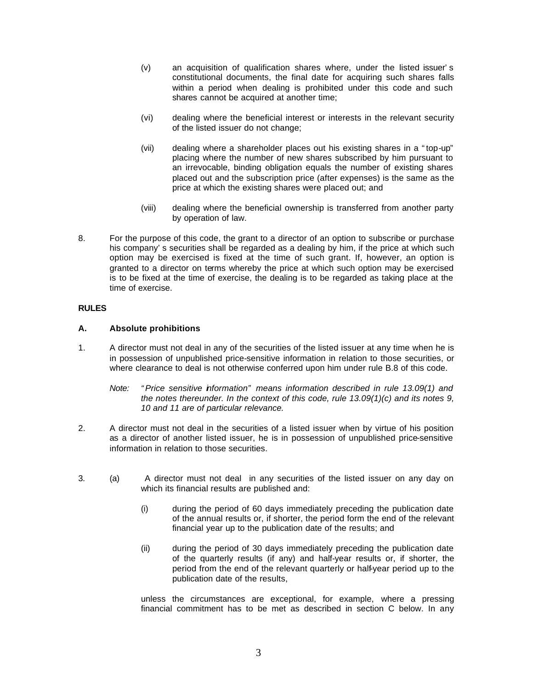- (v) an acquisition of qualification shares where, under the listed issuer's constitutional documents, the final date for acquiring such shares falls within a period when dealing is prohibited under this code and such shares cannot be acquired at another time;
- (vi) dealing where the beneficial interest or interests in the relevant security of the listed issuer do not change;
- (vii) dealing where a shareholder places out his existing shares in a "top-up" placing where the number of new shares subscribed by him pursuant to an irrevocable, binding obligation equals the number of existing shares placed out and the subscription price (after expenses) is the same as the price at which the existing shares were placed out; and
- (viii) dealing where the beneficial ownership is transferred from another party by operation of law.
- 8. For the purpose of this code, the grant to a director of an option to subscribe or purchase his company's securities shall be regarded as a dealing by him, if the price at which such option may be exercised is fixed at the time of such grant. If, however, an option is granted to a director on terms whereby the price at which such option may be exercised is to be fixed at the time of exercise, the dealing is to be regarded as taking place at the time of exercise.

#### **RULES**

#### **A. Absolute prohibitions**

- 1. A director must not deal in any of the securities of the listed issuer at any time when he is in possession of unpublished price-sensitive information in relation to those securities, or where clearance to deal is not otherwise conferred upon him under rule B.8 of this code.
	- *Note: "Price sensitive information" means information described in rule 13.09(1) and the notes thereunder. In the context of this code, rule 13.09(1)(c) and its notes 9, 10 and 11 are of particular relevance.*
- 2. A director must not deal in the securities of a listed issuer when by virtue of his position as a director of another listed issuer, he is in possession of unpublished price-sensitive information in relation to those securities.
- 3. (a) A director must not deal in any securities of the listed issuer on any day on which its financial results are published and:
	- (i) during the period of 60 days immediately preceding the publication date of the annual results or, if shorter, the period form the end of the relevant financial year up to the publication date of the results; and
	- (ii) during the period of 30 days immediately preceding the publication date of the quarterly results (if any) and half-year results or, if shorter, the period from the end of the relevant quarterly or half-year period up to the publication date of the results,

unless the circumstances are exceptional, for example, where a pressing financial commitment has to be met as described in section C below. In any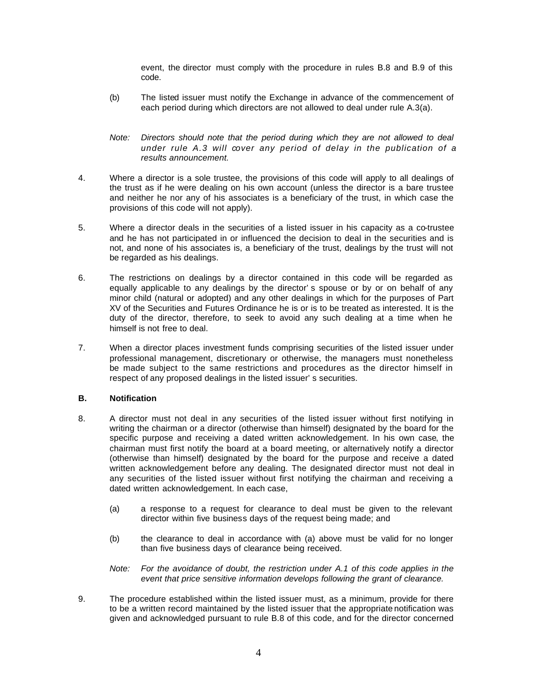event, the director must comply with the procedure in rules B.8 and B.9 of this code.

- (b) The listed issuer must notify the Exchange in advance of the commencement of each period during which directors are not allowed to deal under rule A.3(a).
- *Note: Directors should note that the period during which they are not allowed to deal under rule A.3 will cover any period of delay in the publication of a results announcement.*
- 4. Where a director is a sole trustee, the provisions of this code will apply to all dealings of the trust as if he were dealing on his own account (unless the director is a bare trustee and neither he nor any of his associates is a beneficiary of the trust, in which case the provisions of this code will not apply).
- 5. Where a director deals in the securities of a listed issuer in his capacity as a co-trustee and he has not participated in or influenced the decision to deal in the securities and is not, and none of his associates is, a beneficiary of the trust, dealings by the trust will not be regarded as his dealings.
- 6. The restrictions on dealings by a director contained in this code will be regarded as equally applicable to any dealings by the director's spouse or by or on behalf of any minor child (natural or adopted) and any other dealings in which for the purposes of Part XV of the Securities and Futures Ordinance he is or is to be treated as interested. It is the duty of the director, therefore, to seek to avoid any such dealing at a time when he himself is not free to deal.
- 7. When a director places investment funds comprising securities of the listed issuer under professional management, discretionary or otherwise, the managers must nonetheless be made subject to the same restrictions and procedures as the director himself in respect of any proposed dealings in the listed issuer's securities.

#### **B. Notification**

- 8. A director must not deal in any securities of the listed issuer without first notifying in writing the chairman or a director (otherwise than himself) designated by the board for the specific purpose and receiving a dated written acknowledgement. In his own case, the chairman must first notify the board at a board meeting, or alternatively notify a director (otherwise than himself) designated by the board for the purpose and receive a dated written acknowledgement before any dealing. The designated director must not deal in any securities of the listed issuer without first notifying the chairman and receiving a dated written acknowledgement. In each case,
	- (a) a response to a request for clearance to deal must be given to the relevant director within five business days of the request being made; and
	- (b) the clearance to deal in accordance with (a) above must be valid for no longer than five business days of clearance being received.
	- *Note: For the avoidance of doubt, the restriction under A.1 of this code applies in the event that price sensitive information develops following the grant of clearance.*
- 9. The procedure established within the listed issuer must, as a minimum, provide for there to be a written record maintained by the listed issuer that the appropriate notification was given and acknowledged pursuant to rule B.8 of this code, and for the director concerned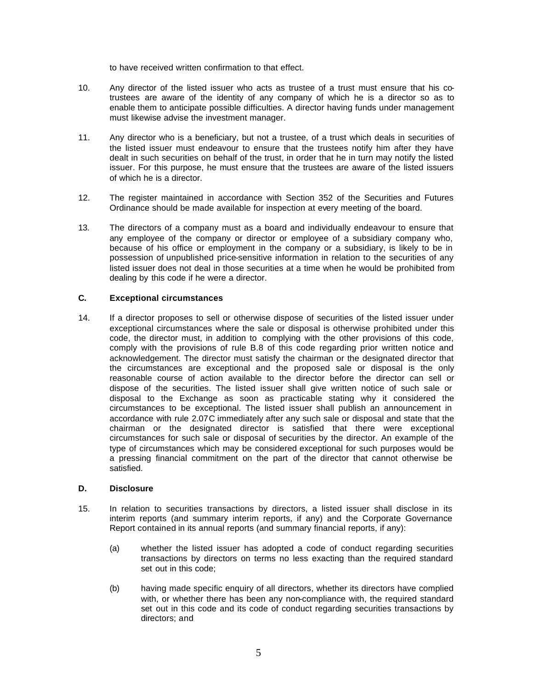to have received written confirmation to that effect.

- 10. Any director of the listed issuer who acts as trustee of a trust must ensure that his cotrustees are aware of the identity of any company of which he is a director so as to enable them to anticipate possible difficulties. A director having funds under management must likewise advise the investment manager.
- 11. Any director who is a beneficiary, but not a trustee, of a trust which deals in securities of the listed issuer must endeavour to ensure that the trustees notify him after they have dealt in such securities on behalf of the trust, in order that he in turn may notify the listed issuer. For this purpose, he must ensure that the trustees are aware of the listed issuers of which he is a director.
- 12. The register maintained in accordance with Section 352 of the Securities and Futures Ordinance should be made available for inspection at every meeting of the board.
- 13. The directors of a company must as a board and individually endeavour to ensure that any employee of the company or director or employee of a subsidiary company who, because of his office or employment in the company or a subsidiary, is likely to be in possession of unpublished price-sensitive information in relation to the securities of any listed issuer does not deal in those securities at a time when he would be prohibited from dealing by this code if he were a director.

#### **C. Exceptional circumstances**

14. If a director proposes to sell or otherwise dispose of securities of the listed issuer under exceptional circumstances where the sale or disposal is otherwise prohibited under this code, the director must, in addition to complying with the other provisions of this code, comply with the provisions of rule B.8 of this code regarding prior written notice and acknowledgement. The director must satisfy the chairman or the designated director that the circumstances are exceptional and the proposed sale or disposal is the only reasonable course of action available to the director before the director can sell or dispose of the securities. The listed issuer shall give written notice of such sale or disposal to the Exchange as soon as practicable stating why it considered the circumstances to be exceptional. The listed issuer shall publish an announcement in accordance with rule 2.07C immediately after any such sale or disposal and state that the chairman or the designated director is satisfied that there were exceptional circumstances for such sale or disposal of securities by the director. An example of the type of circumstances which may be considered exceptional for such purposes would be a pressing financial commitment on the part of the director that cannot otherwise be satisfied.

#### **D. Disclosure**

- 15. In relation to securities transactions by directors, a listed issuer shall disclose in its interim reports (and summary interim reports, if any) and the Corporate Governance Report contained in its annual reports (and summary financial reports, if any):
	- (a) whether the listed issuer has adopted a code of conduct regarding securities transactions by directors on terms no less exacting than the required standard set out in this code;
	- (b) having made specific enquiry of all directors, whether its directors have complied with, or whether there has been any non-compliance with, the required standard set out in this code and its code of conduct regarding securities transactions by directors; and